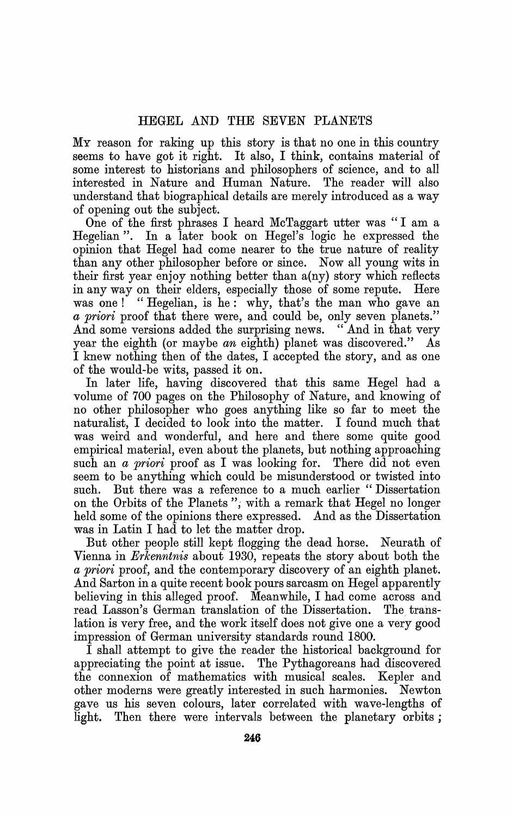MY reason for raking up this story is that no one in this country seems to have got it right. It also, I think, contains material of some interest to historians and philosophers of science, and to all interested in Nature and Human Nature. The reader will also understand that biographical details are merely introduced as a way of opening out the subject.

One of the first phrases I heard McTaggart utter was " I am a Hegelian ". In a later book on Hegel's logic he expressed the opinion that Hegel had come nearer to the true nature of reality than any other philosopher before or since. Now all young wits in their first year enjoy nothing better than a(ny) story which reflects in any way on their elders, especially those of some repute. Here was one! "Hegelian, is he: why, that's the man who gave an a priori proof that there were, and could be, only seven planets." And some versions added the surprising news. "And in that very year the eighth (or maybe an eighth) planet was discovered." As I knew nothing then of the dates, I accepted the story, and as one of the would-be wits, passed it on.

In later life, having discovered that this same Hegel had a volume of 700 pages on the Philosophy of Nature, and knowing of no other philosopher who goes anything like so far to meet the naturalist, I decided to look into the matter. I found much that was weird and wonderful, and here and there some quite good empirical material, even about the planets, but nothing approaching such an  $a$  priori proof as I was looking for. There did not even seem to be anything which could be misunderstood or twisted into such. But there was a reference to a much earlier " Dissertation on the Orbits of the Planets ", with a remark that Hegel no longer held some of the opinions there expressed. And as the Dissertation was in Latin I had to let the matter drop.

But other people still kept flogging the dead horse. Neurath of Vienna in Erkenntnis about 1930, repeats the story about both the a priori proof, and the contemporary discovery of an eighth planet. And Sarton in a quite recent book pours sarcasm on Hegel apparently believing in this alleged proof. Meanwhile, I had come across and read Lasson's German translation of the Dissertation. The transread Lasson's German translation of the Dissertation. lation is very free, and the work itself does not give one a very good impression of German university standards round 1800.

I shall attempt to give the reader the historical background for appreciating the point at issue. The Pythagoreans had discovered the connexion of mathematics with musical scales. Kepler and other moderns were greatly interested in such harmonies. Newton gave us his seven colours, later correlated with wave-lengths of light. Then there were intervals between the planetary orbits;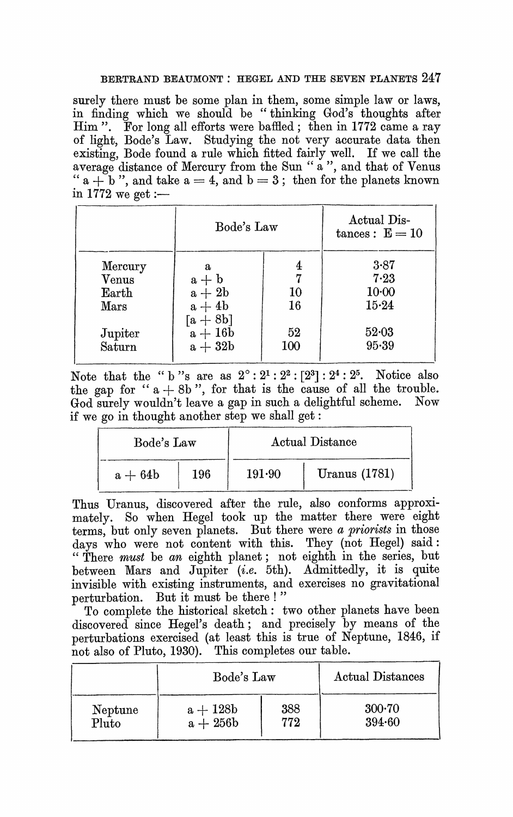## BERTRAND BEAUMONT : HEGEL AND THE SEVEN PLANETS 247

surely there must be some plan in them, some simple law or laws, in finding which we should be " thinking God's thoughts after Him ". For long all efforts were baffled; then in 1772 came a ray of light, Bode's Law. Studying the not very accurate data then existing, Bode found a rule which fitted fairly well. If we call the average distance of Mercury from the Sun " a ", and that of Venus " a  $+$  b", and take  $a = 4$ , and  $b = 3$ ; then for the planets known in 1772 we get :-

|             | Bode's Law                | Actual Dis-<br>$tances: E = 10$ |           |
|-------------|---------------------------|---------------------------------|-----------|
| Mercury     | a                         | 4                               | 3.87      |
| $\rm Venus$ | $a + b$                   | 7                               | 7.23      |
| Earth       | $a + 2b$                  | 10                              | $10-00$   |
| $\rm{Mars}$ | $a + 4b$<br>$\rm [a+8b]$  | 16                              | 15.24     |
| Jupiter     | $\mathrm{a}+16\mathrm{b}$ | 52                              | $52 - 03$ |
| Saturn      | $a + 32b$                 | 100                             | 95.39     |

Note that the "b"s are as  $2^{\circ}$ :  $2^1$ :  $2^2$ :  $[2^3]$ :  $2^4$ :  $2^5$ . Notice also the gap for " $a + 8b$ ", for that is the cause of all the trouble. God surely wouldn't leave a gap in such a delightful scheme. Now if we go in thought another step we shall get:

| Bode's Law |     | Actual Distance |                 |
|------------|-----|-----------------|-----------------|
| $a + 64b$  | 196 | 191.90          | Uranus $(1781)$ |

Thus Uranus, discovered after the rule, also conforms approximately. So when Hegel took up the matter there were eight terms, but only seven planets. But there were a priorists in those days who were not content with this. They (not Hegel) said: " There must be an eighth planet; not eighth in the series, but between Mars and Jupiter (*i.e.* 5th). Admittedly, it is quite invisible with existing instruments, and exercises no gravitational perturbation. But it must be there! "

To complete the historical sketch: two other planets have been discovered since Hegel's death; and precisely by means of the perturbations exercised (at least this is true of Neptune, 1846, if not also of Pluto, 1930). This completes our table.

|         | Bode's Law | Actual Distances |          |
|---------|------------|------------------|----------|
| Neptune | $a + 128b$ | 388              | $300-70$ |
| Pluto   | $a + 256b$ | 772              | 394.60   |